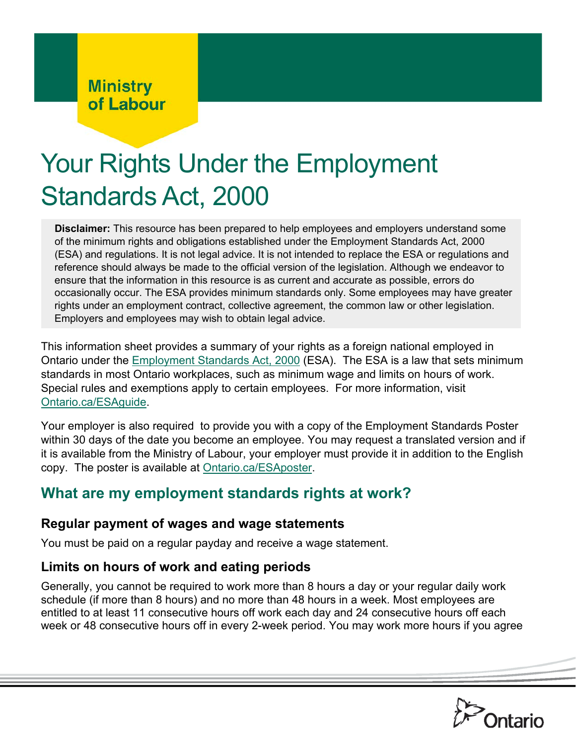# **Ministry<br>of Labour**

# Your Rights Under the Employment Standards Act, 2000

**Disclaimer:** This resource has been prepared to help employees and employers understand some of the minimum rights and obligations established under the Employment Standards Act, 2000 (ESA) and regulations. It is not legal advice. It is not intended to replace the ESA or regulations and reference should always be made to the official version of the legislation. Although we endeavor to ensure that the information in this resource is as current and accurate as possible, errors do occasionally occur. The ESA provides minimum standards only. Some employees may have greater rights under an employment contract, collective agreement, the common law or other legislation. Employers and employees may wish to obtain legal advice.

This information sheet provides a summary of your rights as a foreign national employed in Ontario under the [Employment Standards Act, 2000](http://www.ontario.ca/laws/statute/00e41) (ESA). The ESA is a law that sets minimum standards in most Ontario workplaces, such as minimum wage and limits on hours of work. Special rules and exemptions apply to certain employees. For more information, visit [Ontario.ca/ESAguide.](http://ontario.ca/ESAguide)

Your employer is also required to provide you with a copy of the Employment Standards Poster within 30 days of the date you become an employee. You may request a translated version and if it is available from the Ministry of Labour, your employer must provide it in addition to the English copy. The poster is available at [Ontario.ca/ESAposter.](http://ontario.ca/esaposter)

# **What are my employment standards rights at work?**

#### **Regular payment of wages and wage statements**

You must be paid on a regular payday and receive a wage statement.

#### **Limits on hours of work and eating periods**

Generally, you cannot be required to work more than 8 hours a day or your regular daily work schedule (if more than 8 hours) and no more than 48 hours in a week. Most employees are entitled to at least 11 consecutive hours off work each day and 24 consecutive hours off each week or 48 consecutive hours off in every 2-week period. You may work more hours if you agree

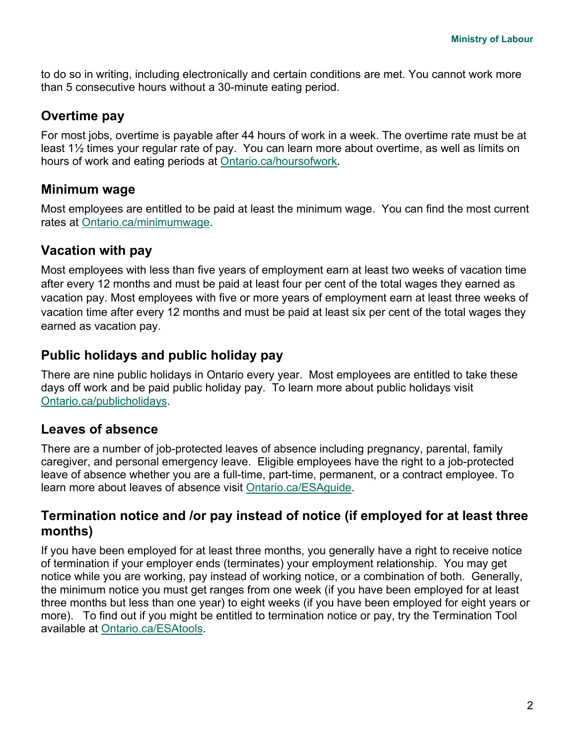to do so in writing, including electronically and certain conditions are met. You cannot work more than 5 consecutive hours without a 30-minute eating period.

#### **Overtime pay**

For most jobs, overtime is payable after 44 hours of work in a week. The overtime rate must be at least 1½ times your regular rate of pay. You can learn more about overtime, as well as limits on hours of work and eating periods at [Ontario.ca/hoursofwork](http://ontario.ca/hoursofwork).

#### **Minimum wage**

Most employees are entitled to be paid at least the minimum wage. You can find the most current rates at [Ontario.ca/minimumwage.](http://www.labour.gov.on.ca/english/es/pubs/guide/minwage.php)

#### **Vacation with pay**

Most employees with less than five years of employment earn at least two weeks of vacation time after every 12 months and must be paid at least four per cent of the total wages they earned as vacation pay. Most employees with five or more years of employment earn at least three weeks of vacation time after every 12 months and must be paid at least six per cent of the total wages they earned as vacation pay.

#### **Public holidays and public holiday pay**

There are nine public holidays in Ontario every year. Most employees are entitled to take these days off work and be paid public holiday pay. To learn more about public holidays visit [Ontario.ca/publicholidays.](http://www.labour.gov.on.ca/english/es/pubs/guide/publicholidays.php)

#### **Leaves of absence**

There are a number of job-protected leaves of absence including pregnancy, parental, family caregiver, and personal emergency leave. Eligible employees have the right to a job-protected leave of absence whether you are a full-time, part-time, permanent, or a contract employee. To learn more about leaves of absence visit [Ontario.ca/ESAguide.](http://ontario.ca/ESAguide)

#### **Termination notice and /or pay instead of notice (if employed for at least three months)**

If you have been employed for at least three months, you generally have a right to receive notice of termination if your employer ends (terminates) your employment relationship. You may get notice while you are working, pay instead of working notice, or a combination of both. Generally, the minimum notice you must get ranges from one week (if you have been employed for at least three months but less than one year) to eight weeks (if you have been employed for eight years or more). To find out if you might be entitled to termination notice or pay, try the Termination Tool available at [Ontario.ca/ESAtools.](http://www.labour.gov.on.ca/english/es/tools/index.php)